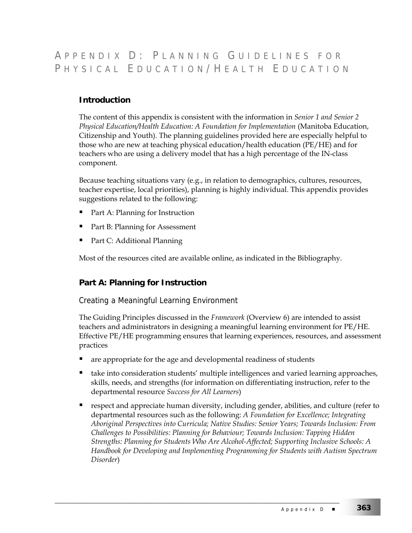# A PPENDIX D : P LANNING G UIDELINES FOR PHYSICAL EDUCATION/HEALTH EDUCATION

# **Introduction**

The content of this appendix is consistent with the information in *Senior 1 and Senior 2 Physical Education/Health Education: A Foundation for Implementation* (Manitoba Education, Citizenship and Youth)*.* The planning guidelines provided here are especially helpful to those who are new at teaching physical education/health education (PE/HE) and for teachers who are using a delivery model that has a high percentage of the IN-class component.

Because teaching situations vary (e.g., in relation to demographics, cultures, resources, teacher expertise, local priorities), planning is highly individual. This appendix provides suggestions related to the following:

- Part A: Planning for Instruction
- Part B: Planning for Assessment
- Part C: Additional Planning

Most of the resources cited are available online, as indicated in the Bibliography.

# **Part A: Planning for Instruction**

#### Creating a Meaningful Learning Environment

The Guiding Principles discussed in the *Framework* (Overview 6) are intended to assist teachers and administrators in designing a meaningful learning environment for PE/HE. Effective PE/HE programming ensures that learning experiences, resources, and assessment practices

are appropriate for the age and developmental readiness of students

- take into consideration students' multiple intelligences and varied learning approaches, skills, needs, and strengths (for information on differentiating instruction, refer to the departmental resource *Success for All Learners*)
- respect and appreciate human diversity, including gender, abilities, and culture (refer to departmental resources such as the following: *A Foundation for Excellence; Integrating Aboriginal Perspectives into Curricula; Native Studies: Senior Years; Towards Inclusion: From Challenges to Possibilities: Planning for Behaviour; Towards Inclusion: Tapping Hidden Strengths: Planning for Students Who Are Alcohol-Affected; Supporting Inclusive Schools: A Handbook for Developing and Implementing Programming for Students with Autism Spectrum Disorder*)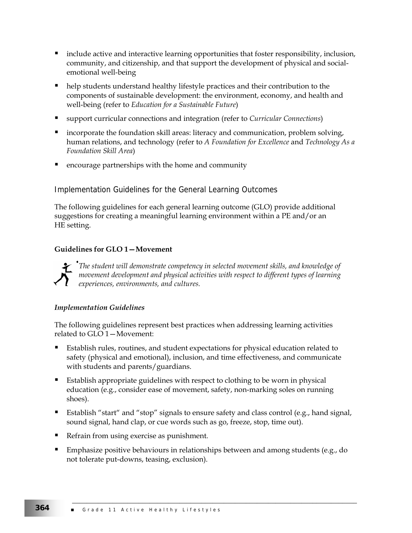- include active and interactive learning opportunities that foster responsibility, inclusion, community, and citizenship, and that support the development of physical and socialemotional well-being
- help students understand healthy lifestyle practices and their contribution to the components of sustainable development: the environment, economy, and health and well-being (refer to *Education for a Sustainable Future*)
- support curricular connections and integration (refer to *Curricular Connections*)
- incorporate the foundation skill areas: literacy and communication, problem solving, human relations, and technology (refer to *A Foundation for Excellence* and *Technology As a Foundation Skill Area*)
- encourage partnerships with the home and community

# Implementation Guidelines for the General Learning Outcomes

The following guidelines for each general learning outcome (GLO) provide additional suggestions for creating a meaningful learning environment within a PE and/or an HE setting.

#### **Guidelines for GLO 1—Movement**



*The student will demonstrate competency in selected movement skills, and knowledge of movement development and physical activities with respect to different types of learning experiences, environments, and cultures.* 

#### *Implementation Guidelines*

The following guidelines represent best practices when addressing learning activities related to GLO 1—Movement:

- Establish rules, routines, and student expectations for physical education related to safety (physical and emotional), inclusion, and time effectiveness, and communicate with students and parents/guardians.
- Establish appropriate guidelines with respect to clothing to be worn in physical education (e.g., consider ease of movement, safety, non-marking soles on running shoes).
- Establish "start" and "stop" signals to ensure safety and class control (e.g., hand signal, sound signal, hand clap, or cue words such as go, freeze, stop, time out).
- Refrain from using exercise as punishment.
- **Emphasize positive behaviours in relationships between and among students (e.g., do** not tolerate put-downs, teasing, exclusion).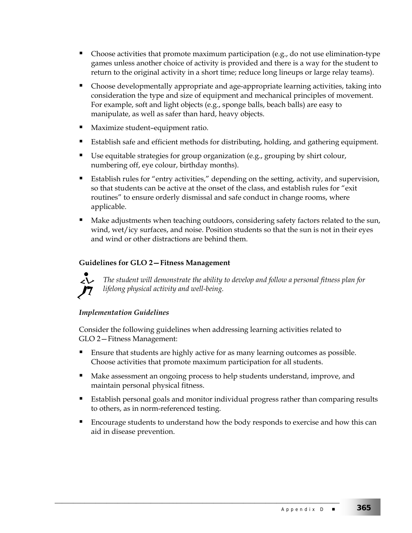- Choose activities that promote maximum participation (e.g., do not use elimination-type games unless another choice of activity is provided and there is a way for the student to return to the original activity in a short time; reduce long lineups or large relay teams).
- Choose developmentally appropriate and age-appropriate learning activities, taking into consideration the type and size of equipment and mechanical principles of movement. For example, soft and light objects (e.g., sponge balls, beach balls) are easy to manipulate, as well as safer than hard, heavy objects.
- Maximize student–equipment ratio.
- Establish safe and efficient methods for distributing, holding, and gathering equipment.
- Use equitable strategies for group organization (e.g., grouping by shirt colour, numbering off, eye colour, birthday months).
- Establish rules for "entry activities," depending on the setting, activity, and supervision, so that students can be active at the onset of the class, and establish rules for "exit routines" to ensure orderly dismissal and safe conduct in change rooms, where applicable.
- Make adjustments when teaching outdoors, considering safety factors related to the sun, wind, wet/icy surfaces, and noise. Position students so that the sun is not in their eyes and wind or other distractions are behind them.

# **Guidelines for GLO 2—Fitness Management**



*The student will demonstrate the ability to develop and follow a personal fitness plan for lifelong physical activity and well-being.* 

# *Implementation Guidelines*

Consider the following guidelines when addressing learning activities related to GLO 2—Fitness Management:

- Ensure that students are highly active for as many learning outcomes as possible. Choose activities that promote maximum participation for all students.
- Make assessment an ongoing process to help students understand, improve, and maintain personal physical fitness.

- **Establish personal goals and monitor individual progress rather than comparing results** to others, as in norm-referenced testing.
- Encourage students to understand how the body responds to exercise and how this can aid in disease prevention.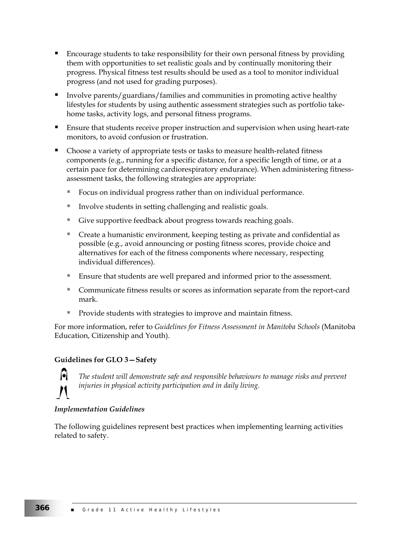- Encourage students to take responsibility for their own personal fitness by providing them with opportunities to set realistic goals and by continually monitoring their progress. Physical fitness test results should be used as a tool to monitor individual progress (and not used for grading purposes).
- Involve parents/guardians/families and communities in promoting active healthy lifestyles for students by using authentic assessment strategies such as portfolio takehome tasks, activity logs, and personal fitness programs.
- Ensure that students receive proper instruction and supervision when using heart-rate monitors, to avoid confusion or frustration.
- Choose a variety of appropriate tests or tasks to measure health-related fitness components (e.g., running for a specific distance, for a specific length of time, or at a certain pace for determining cardiorespiratory endurance). When administering fitnessassessment tasks, the following strategies are appropriate:
	- Focus on individual progress rather than on individual performance.
	- Involve students in setting challenging and realistic goals.
	- Give supportive feedback about progress towards reaching goals.
	- Create a humanistic environment, keeping testing as private and confidential as possible (e.g., avoid announcing or posting fitness scores, provide choice and alternatives for each of the fitness components where necessary, respecting individual differences).
	- Ensure that students are well prepared and informed prior to the assessment.
	- Communicate fitness results or scores as information separate from the report-card mark.
	- Provide students with strategies to improve and maintain fitness.

For more information, refer to *Guidelines for Fitness Assessment in Manitoba Schools* (Manitoba Education, Citizenship and Youth).

#### **Guidelines for GLO 3—Safety**



*The student will demonstrate safe and responsible behaviours to manage risks and prevent injuries in physical activity participation and in daily living.* 

\_\_\_\_\_\_\_\_\_\_\_\_\_\_\_\_\_\_\_\_\_\_\_\_\_\_\_\_\_\_\_\_\_\_\_\_\_\_\_\_\_\_\_\_\_\_\_\_\_\_\_\_\_\_\_\_\_\_\_\_\_\_\_\_\_\_\_\_\_\_\_\_\_\_\_\_\_

#### *Implementation Guidelines*

The following guidelines represent best practices when implementing learning activities related to safety.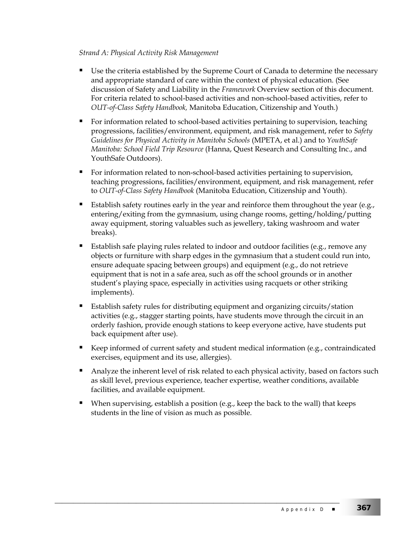# *Strand A: Physical Activity Risk Management*

- Use the criteria established by the Supreme Court of Canada to determine the necessary and appropriate standard of care within the context of physical education. (See discussion of Safety and Liability in the *Framework* Overview section of this document. For criteria related to school-based activities and non-school-based activities, refer to *OUT-of-Class Safety Handbook,* Manitoba Education, Citizenship and Youth.)
- For information related to school-based activities pertaining to supervision, teaching progressions, facilities/environment, equipment, and risk management, refer to *Safety Guidelines for Physical Activity in Manitoba Schools* (MPETA, et al.) and to *YouthSafe Manitoba: School Field Trip Resource* (Hanna, Quest Research and Consulting Inc., and YouthSafe Outdoors).
- For information related to non-school-based activities pertaining to supervision, teaching progressions, facilities/environment, equipment, and risk management, refer to *OUT-of-Class Safety Handbook* (Manitoba Education, Citizenship and Youth).
- Establish safety routines early in the year and reinforce them throughout the year (e.g., entering/exiting from the gymnasium, using change rooms, getting/holding/putting away equipment, storing valuables such as jewellery, taking washroom and water breaks).
- Establish safe playing rules related to indoor and outdoor facilities (e.g., remove any objects or furniture with sharp edges in the gymnasium that a student could run into, ensure adequate spacing between groups) and equipment (e.g., do not retrieve equipment that is not in a safe area, such as off the school grounds or in another student's playing space, especially in activities using racquets or other striking implements).
- Establish safety rules for distributing equipment and organizing circuits/station activities (e.g., stagger starting points, have students move through the circuit in an orderly fashion, provide enough stations to keep everyone active, have students put back equipment after use).
- Keep informed of current safety and student medical information (e.g., contraindicated exercises, equipment and its use, allergies).
- Analyze the inherent level of risk related to each physical activity, based on factors such as skill level, previous experience, teacher expertise, weather conditions, available facilities, and available equipment.
- When supervising, establish a position (e.g., keep the back to the wall) that keeps students in the line of vision as much as possible.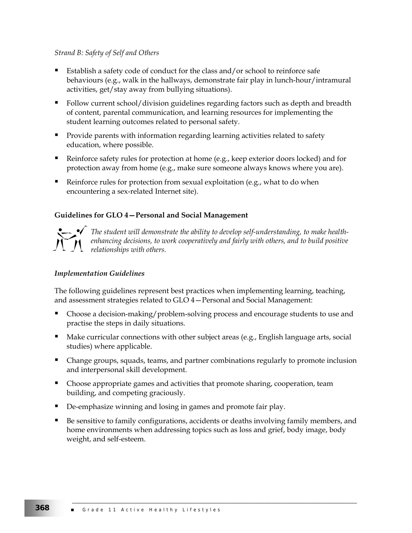#### *Strand B: Safety of Self and Others*

- Establish a safety code of conduct for the class and/or school to reinforce safe behaviours (e.g., walk in the hallways, demonstrate fair play in lunch-hour/intramural activities, get/stay away from bullying situations).
- Follow current school/division guidelines regarding factors such as depth and breadth of content, parental communication, and learning resources for implementing the student learning outcomes related to personal safety.
- **Provide parents with information regarding learning activities related to safety** education, where possible.
- Reinforce safety rules for protection at home (e.g., keep exterior doors locked) and for protection away from home (e.g., make sure someone always knows where you are).
- Reinforce rules for protection from sexual exploitation (e.g., what to do when encountering a sex-related Internet site).

#### **Guidelines for GLO 4—Personal and Social Management**



*The student will demonstrate the ability to develop self-understanding, to make healthenhancing decisions, to work cooperatively and fairly with others, and to build positive relationships with others.* 

#### *Implementation Guidelines*

The following guidelines represent best practices when implementing learning, teaching, and assessment strategies related to GLO 4—Personal and Social Management:

- Choose a decision-making/problem-solving process and encourage students to use and practise the steps in daily situations.
- $\blacksquare$  Make curricular connections with other subject areas (e.g., English language arts, social studies) where applicable.
- **Change groups, squads, teams, and partner combinations regularly to promote inclusion** and interpersonal skill development.
- **Choose appropriate games and activities that promote sharing, cooperation, team** building, and competing graciously.
- De-emphasize winning and losing in games and promote fair play.
- Be sensitive to family configurations, accidents or deaths involving family members, and home environments when addressing topics such as loss and grief, body image, body weight, and self-esteem.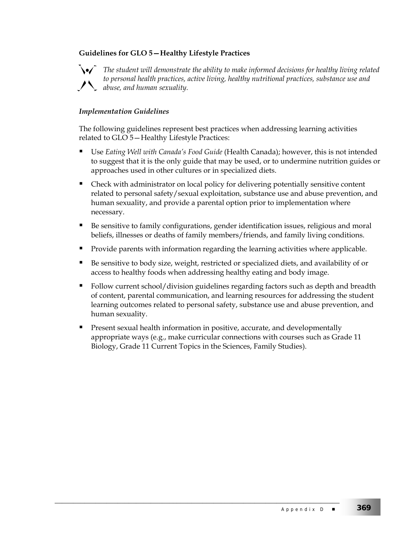# **Guidelines for GLO 5—Healthy Lifestyle Practices**



*The student will demonstrate the ability to make informed decisions for healthy living related to personal health practices, active living, healthy nutritional practices, substance use and abuse, and human sexuality.* 

#### *Implementation Guidelines*

The following guidelines represent best practices when addressing learning activities related to GLO 5—Healthy Lifestyle Practices:

- Use *Eating Well with Canada's Food Guide* (Health Canada); however, this is not intended to suggest that it is the only guide that may be used, or to undermine nutrition guides or approaches used in other cultures or in specialized diets.
- Check with administrator on local policy for delivering potentially sensitive content related to personal safety/sexual exploitation, substance use and abuse prevention, and human sexuality, and provide a parental option prior to implementation where necessary.
- Be sensitive to family configurations, gender identification issues, religious and moral beliefs, illnesses or deaths of family members/friends, and family living conditions.
- Provide parents with information regarding the learning activities where applicable.
- Be sensitive to body size, weight, restricted or specialized diets, and availability of or access to healthy foods when addressing healthy eating and body image.
- Follow current school/division guidelines regarding factors such as depth and breadth of content, parental communication, and learning resources for addressing the student learning outcomes related to personal safety, substance use and abuse prevention, and human sexuality.
- Present sexual health information in positive, accurate, and developmentally appropriate ways (e.g., make curricular connections with courses such as Grade 11 Biology, Grade 11 Current Topics in the Sciences, Family Studies).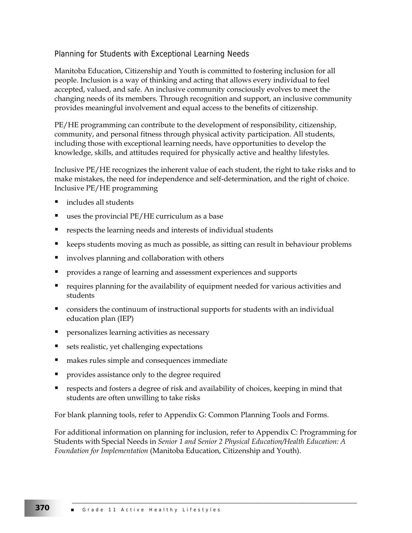# Planning for Students with Exceptional Learning Needs

Manitoba Education, Citizenship and Youth is committed to fostering inclusion for all people. Inclusion is a way of thinking and acting that allows every individual to feel accepted, valued, and safe. An inclusive community consciously evolves to meet the changing needs of its members. Through recognition and support, an inclusive community provides meaningful involvement and equal access to the benefits of citizenship.

PE/HE programming can contribute to the development of responsibility, citizenship, community, and personal fitness through physical activity participation. All students, including those with exceptional learning needs, have opportunities to develop the knowledge, skills, and attitudes required for physically active and healthy lifestyles.

Inclusive PE/HE recognizes the inherent value of each student, the right to take risks and to make mistakes, the need for independence and self-determination, and the right of choice. Inclusive PE/HE programming

- includes all students
- uses the provincial PE/HE curriculum as a base
- respects the learning needs and interests of individual students
- keeps students moving as much as possible, as sitting can result in behaviour problems
- involves planning and collaboration with others
- provides a range of learning and assessment experiences and supports
- requires planning for the availability of equipment needed for various activities and students
- **Considers the continuum of instructional supports for students with an individual** education plan (IEP)
- personalizes learning activities as necessary
- sets realistic, yet challenging expectations
- makes rules simple and consequences immediate
- provides assistance only to the degree required
- respects and fosters a degree of risk and availability of choices, keeping in mind that students are often unwilling to take risks

For blank planning tools, refer to Appendix G: Common Planning Tools and Forms.

For additional information on planning for inclusion, refer to Appendix C: Programming for Students with Special Needs in *Senior 1 and Senior 2 Physical Education/Health Education: A Foundation for Implementation* (Manitoba Education, Citizenship and Youth).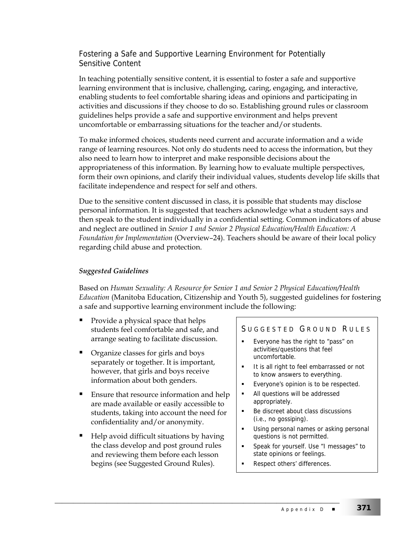# Fostering a Safe and Supportive Learning Environment for Potentially Sensitive Content

In teaching potentially sensitive content, it is essential to foster a safe and supportive learning environment that is inclusive, challenging, caring, engaging, and interactive, enabling students to feel comfortable sharing ideas and opinions and participating in activities and discussions if they choose to do so. Establishing ground rules or classroom guidelines helps provide a safe and supportive environment and helps prevent uncomfortable or embarrassing situations for the teacher and/or students.

To make informed choices, students need current and accurate information and a wide range of learning resources. Not only do students need to access the information, but they also need to learn how to interpret and make responsible decisions about the appropriateness of this information. By learning how to evaluate multiple perspectives, form their own opinions, and clarify their individual values, students develop life skills that facilitate independence and respect for self and others.

Due to the sensitive content discussed in class, it is possible that students may disclose personal information. It is suggested that teachers acknowledge what a student says and then speak to the student individually in a confidential setting. Common indicators of abuse and neglect are outlined in *Senior 1 and Senior 2 Physical Education/Health Education: A Foundation for Implementation* (Overview–24). Teachers should be aware of their local policy regarding child abuse and protection.

# *Suggested Guidelines*

Based on *Human Sexuality: A Resource for Senior 1 and Senior 2 Physical Education/Health Education* (Manitoba Education, Citizenship and Youth 5), suggested guidelines for fostering a safe and supportive learning environment include the following:

- Provide a physical space that helps students feel comfortable and safe, and arrange seating to facilitate discussion.
- Organize classes for girls and boys separately or together. It is important, however, that girls and boys receive information about both genders.
- Ensure that resource information and help are made available or easily accessible to students, taking into account the need for confidentiality and/or anonymity.
- Help avoid difficult situations by having the class develop and post ground rules and reviewing them before each lesson begins (see Suggested Ground Rules).

\_\_\_\_\_\_\_\_\_\_\_\_\_\_\_\_\_\_\_\_\_\_\_\_\_\_\_\_\_\_\_\_\_\_\_\_\_\_\_\_\_\_\_\_\_\_\_\_\_\_\_\_\_\_\_\_\_\_\_\_\_\_\_\_\_\_\_\_\_\_\_\_\_\_\_\_\_

# SUGGESTED GROUND RULES

- **Everyone has the right to "pass" on** activities/questions that feel uncomfortable.
- It is all right to feel embarrassed or not to know answers to everything.
- Everyone's opinion is to be respected.
- All questions will be addressed appropriately.
- Be discreet about class discussions (i.e., no gossiping).
- Using personal names or asking personal questions is not permitted.
- **Speak for yourself. Use "I messages" to** state opinions or feelings.
- Respect others' differences.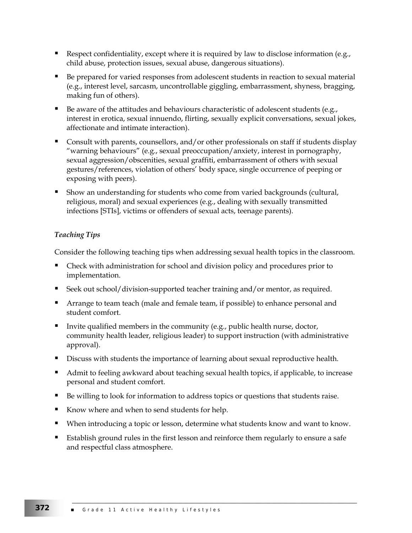- Respect confidentiality, except where it is required by law to disclose information (e.g., child abuse, protection issues, sexual abuse, dangerous situations).
- Be prepared for varied responses from adolescent students in reaction to sexual material (e.g., interest level, sarcasm, uncontrollable giggling, embarrassment, shyness, bragging, making fun of others).
- Be aware of the attitudes and behaviours characteristic of adolescent students (e.g., interest in erotica, sexual innuendo, flirting, sexually explicit conversations, sexual jokes, affectionate and intimate interaction).
- Consult with parents, counsellors, and/or other professionals on staff if students display "warning behaviours" (e.g., sexual preoccupation/anxiety, interest in pornography, sexual aggression/obscenities, sexual graffiti, embarrassment of others with sexual gestures/references, violation of others' body space, single occurrence of peeping or exposing with peers).
- Show an understanding for students who come from varied backgrounds (cultural, religious, moral) and sexual experiences (e.g., dealing with sexually transmitted infections [STIs], victims or offenders of sexual acts, teenage parents).

# *Teaching Tips*

Consider the following teaching tips when addressing sexual health topics in the classroom.

- Check with administration for school and division policy and procedures prior to implementation.
- Seek out school/division-supported teacher training and/or mentor, as required.
- Arrange to team teach (male and female team, if possible) to enhance personal and student comfort.
- Invite qualified members in the community (e.g., public health nurse, doctor, community health leader, religious leader) to support instruction (with administrative approval).
- Discuss with students the importance of learning about sexual reproductive health.
- Admit to feeling awkward about teaching sexual health topics, if applicable, to increase personal and student comfort.
- Be willing to look for information to address topics or questions that students raise.
- Know where and when to send students for help.
- When introducing a topic or lesson, determine what students know and want to know.
- Establish ground rules in the first lesson and reinforce them regularly to ensure a safe and respectful class atmosphere.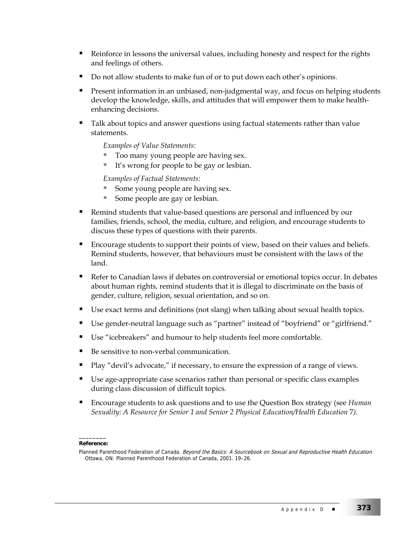- Reinforce in lessons the universal values, including honesty and respect for the rights and feelings of others.
- Do not allow students to make fun of or to put down each other's opinions.
- Present information in an unbiased, non-judgmental way, and focus on helping students develop the knowledge, skills, and attitudes that will empower them to make healthenhancing decisions.
- Talk about topics and answer questions using factual statements rather than value statements.

*Examples of Value Statements:*

- Too many young people are having sex.
- It's wrong for people to be gay or lesbian.

*Examples of Factual Statements:*

- Some young people are having sex.
- Some people are gay or lesbian.
- Remind students that value-based questions are personal and influenced by our families, friends, school, the media, culture, and religion, and encourage students to discuss these types of questions with their parents.
- Encourage students to support their points of view, based on their values and beliefs. Remind students, however, that behaviours must be consistent with the laws of the land.
- Refer to Canadian laws if debates on controversial or emotional topics occur. In debates about human rights, remind students that it is illegal to discriminate on the basis of gender, culture, religion, sexual orientation, and so on.
- Use exact terms and definitions (not slang) when talking about sexual health topics.
- Use gender-neutral language such as "partner" instead of "boyfriend" or "girlfriend."
- Use "icebreakers" and humour to help students feel more comfortable.

\_\_\_\_\_\_\_\_\_\_\_\_\_\_\_\_\_\_\_\_\_\_\_\_\_\_\_\_\_\_\_\_\_\_\_\_\_\_\_\_\_\_\_\_\_\_\_\_\_\_\_\_\_\_\_\_\_\_\_\_\_\_\_\_\_\_\_\_\_\_\_\_\_\_\_\_\_

- Be sensitive to non-verbal communication.
- Play "devil's advocate," if necessary, to ensure the expression of a range of views.
- Use age-appropriate case scenarios rather than personal or specific class examples during class discussion of difficult topics.
- Encourage students to ask questions and to use the Question Box strategy (see *Human Sexuality: A Resource for Senior 1 and Senior 2 Physical Education/Health Education* 7*)*.

#### **\_\_\_\_\_\_\_\_ Reference:**

Planned Parenthood Federation of Canada. Beyond the Basics: A Sourcebook on Sexual and Reproductive Health Education. Ottawa, ON: Planned Parenthood Federation of Canada, 2001. 19–26.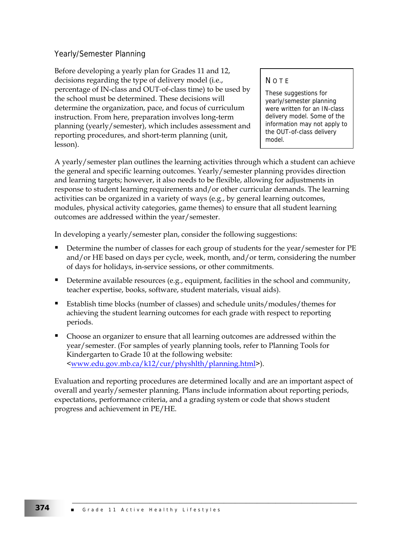# Yearly/Semester Planning

Before developing a yearly plan for Grades 11 and 12, decisions regarding the type of delivery model (i.e., percentage of IN-class and OUT-of-class time) to be used by the school must be determined. These decisions will determine the organization, pace, and focus of curriculum instruction. From here, preparation involves long-term planning (yearly/semester), which includes assessment and reporting procedures, and short-term planning (unit, lesson).

#### **NOTE**

These suggestions for yearly/semester planning were written for an IN-class delivery model. Some of the information may not apply to the OUT-of-class delivery model.

A yearly/semester plan outlines the learning activities through which a student can achieve the general and specific learning outcomes. Yearly/semester planning provides direction and learning targets; however, it also needs to be flexible, allowing for adjustments in response to student learning requirements and/or other curricular demands. The learning activities can be organized in a variety of ways (e.g., by general learning outcomes, modules, physical activity categories, game themes) to ensure that all student learning outcomes are addressed within the year/semester.

In developing a yearly/semester plan, consider the following suggestions:

- Determine the number of classes for each group of students for the year/semester for PE and/or HE based on days per cycle, week, month, and/or term, considering the number of days for holidays, in-service sessions, or other commitments.
- Determine available resources (e.g., equipment, facilities in the school and community, teacher expertise, books, software, student materials, visual aids).
- Establish time blocks (number of classes) and schedule units/modules/themes for achieving the student learning outcomes for each grade with respect to reporting periods.
- Choose an organizer to ensure that all learning outcomes are addressed within the year/semester. (For samples of yearly planning tools, refer to Planning Tools for Kindergarten to Grade 10 at the following website: <www.edu.gov.mb.ca/k12/cur/physhlth/planning.html>).

Evaluation and reporting procedures are determined locally and are an important aspect of overall and yearly/semester planning. Plans include information about reporting periods, expectations, performance criteria, and a grading system or code that shows student progress and achievement in PE/HE.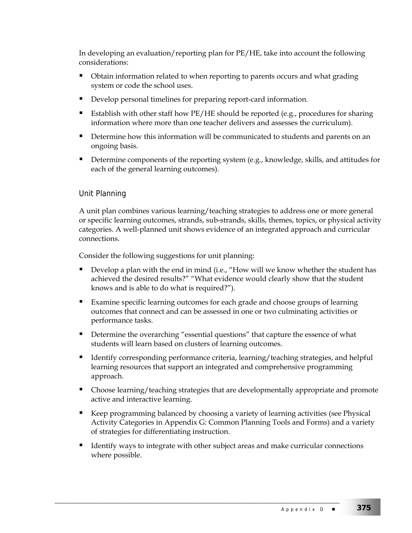In developing an evaluation/reporting plan for PE/HE, take into account the following considerations:

- Obtain information related to when reporting to parents occurs and what grading system or code the school uses.
- Develop personal timelines for preparing report-card information.
- Establish with other staff how PE/HE should be reported (e.g., procedures for sharing information where more than one teacher delivers and assesses the curriculum).
- Determine how this information will be communicated to students and parents on an ongoing basis.
- Determine components of the reporting system (e.g., knowledge, skills, and attitudes for each of the general learning outcomes).

# Unit Planning

A unit plan combines various learning/teaching strategies to address one or more general or specific learning outcomes, strands, sub-strands, skills, themes, topics, or physical activity categories. A well-planned unit shows evidence of an integrated approach and curricular connections.

Consider the following suggestions for unit planning:

- Develop a plan with the end in mind (i.e., "How will we know whether the student has achieved the desired results?" "What evidence would clearly show that the student knows and is able to do what is required?").
- **Examine specific learning outcomes for each grade and choose groups of learning** outcomes that connect and can be assessed in one or two culminating activities or performance tasks.
- Determine the overarching "essential questions" that capture the essence of what students will learn based on clusters of learning outcomes.
- Identify corresponding performance criteria, learning/teaching strategies, and helpful learning resources that support an integrated and comprehensive programming approach.
- Choose learning/teaching strategies that are developmentally appropriate and promote active and interactive learning.
- Keep programming balanced by choosing a variety of learning activities (see Physical Activity Categories in Appendix G: Common Planning Tools and Forms) and a variety of strategies for differentiating instruction.
- Identify ways to integrate with other subject areas and make curricular connections where possible.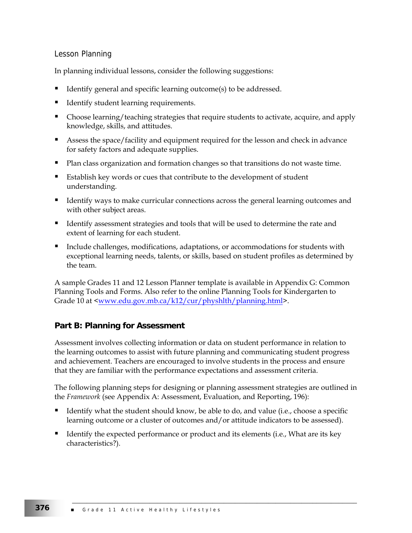# Lesson Planning

In planning individual lessons, consider the following suggestions:

- Identify general and specific learning outcome(s) to be addressed.
- Identify student learning requirements.
- Choose learning/teaching strategies that require students to activate, acquire, and apply knowledge, skills, and attitudes.
- **Assess the space/facility and equipment required for the lesson and check in advance** for safety factors and adequate supplies.
- Plan class organization and formation changes so that transitions do not waste time.
- Establish key words or cues that contribute to the development of student understanding.
- Identify ways to make curricular connections across the general learning outcomes and with other subject areas.
- I dentify assessment strategies and tools that will be used to determine the rate and extent of learning for each student.
- Include challenges, modifications, adaptations, or accommodations for students with exceptional learning needs, talents, or skills, based on student profiles as determined by the team.

A sample Grades 11 and 12 Lesson Planner template is available in Appendix G: Common Planning Tools and Forms. Also refer to the online Planning Tools for Kindergarten to Grade 10 at <www.edu.gov.mb.ca/k12/cur/physhlth/planning.html>.

# **Part B: Planning for Assessment**

Assessment involves collecting information or data on student performance in relation to the learning outcomes to assist with future planning and communicating student progress and achievement. Teachers are encouraged to involve students in the process and ensure that they are familiar with the performance expectations and assessment criteria.

The following planning steps for designing or planning assessment strategies are outlined in the *Framework* (see Appendix A: Assessment, Evaluation, and Reporting, 196):

- Identify what the student should know, be able to do, and value (i.e., choose a specific learning outcome or a cluster of outcomes and/or attitude indicators to be assessed).
- Identify the expected performance or product and its elements (i.e., What are its key characteristics?).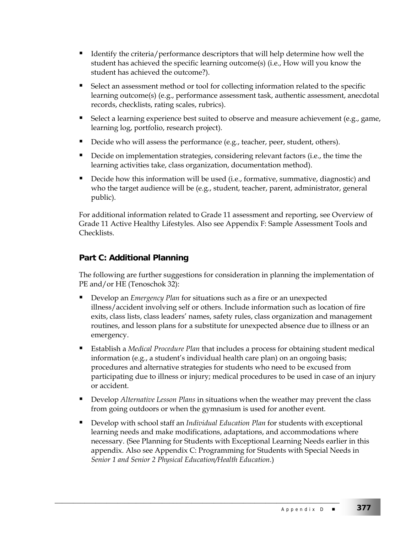- Identify the criteria/performance descriptors that will help determine how well the student has achieved the specific learning outcome(s) (i.e., How will you know the student has achieved the outcome?).
- Select an assessment method or tool for collecting information related to the specific learning outcome(s) (e.g., performance assessment task, authentic assessment, anecdotal records, checklists, rating scales, rubrics).
- Select a learning experience best suited to observe and measure achievement (e.g., game, learning log, portfolio, research project).
- Decide who will assess the performance (e.g., teacher, peer, student, others).
- Decide on implementation strategies, considering relevant factors (i.e., the time the learning activities take, class organization, documentation method).
- Decide how this information will be used (i.e., formative, summative, diagnostic) and who the target audience will be (e.g., student, teacher, parent, administrator, general public).

For additional information related to Grade 11 assessment and reporting, see Overview of Grade 11 Active Healthy Lifestyles. Also see Appendix F: Sample Assessment Tools and Checklists.

# **Part C: Additional Planning**

The following are further suggestions for consideration in planning the implementation of PE and/or HE (Tenoschok 32):

- Develop an *Emergency Plan* for situations such as a fire or an unexpected illness/accident involving self or others. Include information such as location of fire exits, class lists, class leaders' names, safety rules, class organization and management routines, and lesson plans for a substitute for unexpected absence due to illness or an emergency.
- Establish a *Medical Procedure Plan* that includes a process for obtaining student medical information (e.g., a student's individual health care plan) on an ongoing basis; procedures and alternative strategies for students who need to be excused from participating due to illness or injury; medical procedures to be used in case of an injury or accident.
- **Develop** *Alternative Lesson Plans* in situations when the weather may prevent the class from going outdoors or when the gymnasium is used for another event.
- Develop with school staff an *Individual Education Plan* for students with exceptional learning needs and make modifications, adaptations, and accommodations where necessary. (See Planning for Students with Exceptional Learning Needs earlier in this appendix. Also see Appendix C: Programming for Students with Special Needs in *Senior 1 and Senior 2 Physical Education/Health Education*.)